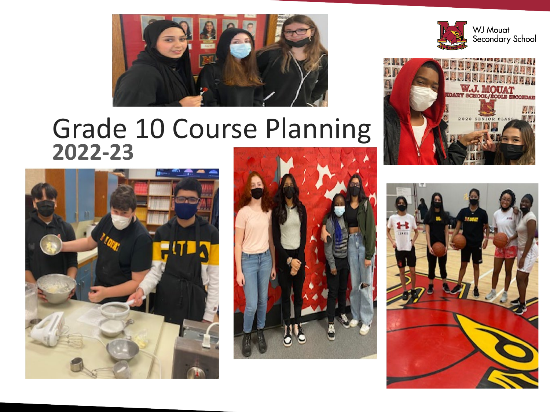

#### Grade 10 Course Planning **2022-23**









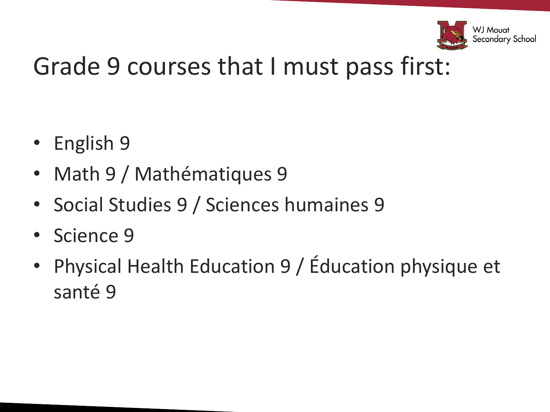

## Grade 9 courses that I must pass first:

- English 9
- Math 9 / Mathématiques 9
- Social Studies 9 / Sciences humaines 9
- Science 9
- Physical Health Education 9 / Éducation physique et santé 9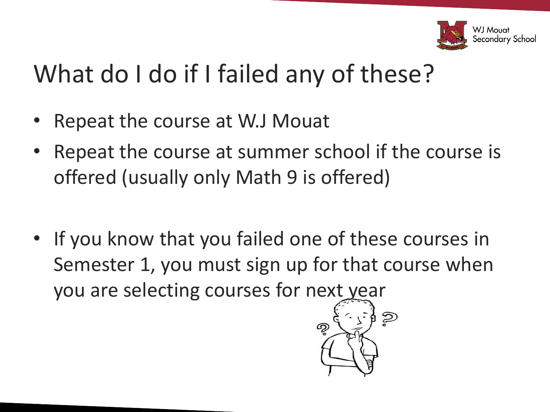

## What do I do if I failed any of these?

- Repeat the course at W.J Mouat
- Repeat the course at summer school if the course is offered (usually only Math 9 is offered)
- If you know that you failed one of these courses in Semester 1, you must sign up for that course when you are selecting courses for next year

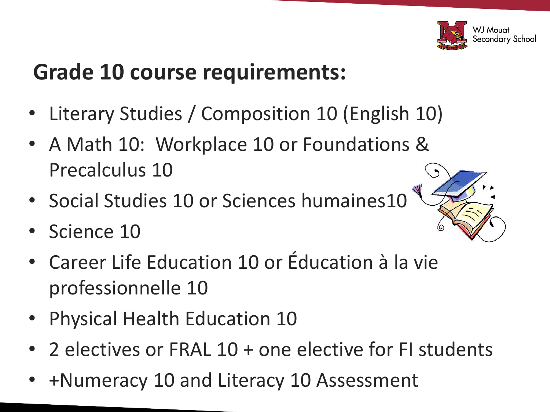

### **Grade 10 course requirements:**

- Literary Studies / Composition 10 (English 10)
- A Math 10: Workplace 10 or Foundations & Precalculus 10
- Social Studies 10 or Sciences humaines10
- Science 10
- 
- Career Life Education 10 or Éducation à la vie professionnelle 10
- Physical Health Education 10
- 2 electives or FRAL 10 + one elective for FI students
- +Numeracy 10 and Literacy 10 Assessment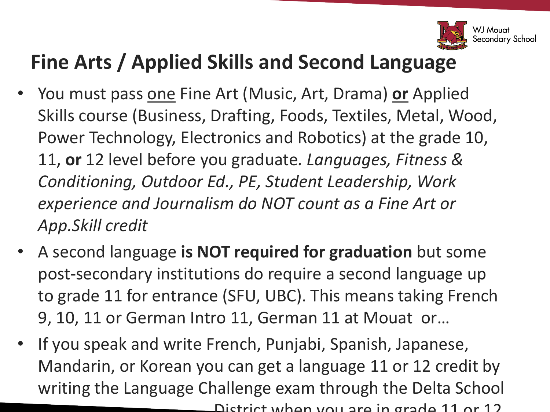

#### **Fine Arts / Applied Skills and Second Language**

- You must pass one Fine Art (Music, Art, Drama) **or** Applied Skills course (Business, Drafting, Foods, Textiles, Metal, Wood, Power Technology, Electronics and Robotics) at the grade 10, 11, **or** 12 level before you graduate*. Languages, Fitness & Conditioning, Outdoor Ed., PE, Student Leadership, Work experience and Journalism do NOT count as a Fine Art or App.Skill credit*
- A second language **is NOT required for graduation** but some post-secondary institutions do require a second language up to grade 11 for entrance (SFU, UBC). This means taking French 9, 10, 11 or German Intro 11, German 11 at Mouat or…
- If you speak and write French, Punjabi, Spanish, Japanese, Mandarin, or Korean you can get a language 11 or 12 credit by writing the Language Challenge exam through the Delta School District when you are in grade 11 or 12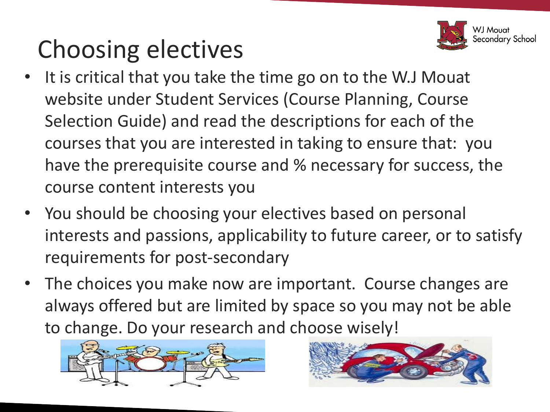# Choosing electives



- It is critical that you take the time go on to the W.J Mouat website under Student Services (Course Planning, Course Selection Guide) and read the descriptions for each of the courses that you are interested in taking to ensure that: you have the prerequisite course and % necessary for success, the course content interests you
- You should be choosing your electives based on personal interests and passions, applicability to future career, or to satisfy requirements for post-secondary
- The choices you make now are important. Course changes are always offered but are limited by space so you may not be able to change. Do your research and choose wisely!



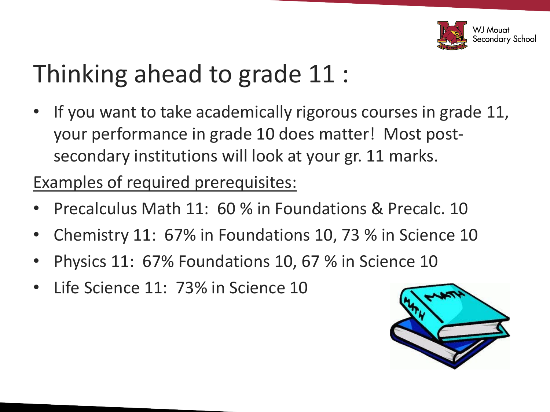

# Thinking ahead to grade 11 :

• If you want to take academically rigorous courses in grade 11, your performance in grade 10 does matter! Most postsecondary institutions will look at your gr. 11 marks.

Examples of required prerequisites:

- Precalculus Math 11: 60 % in Foundations & Precalc. 10
- Chemistry 11: 67% in Foundations 10, 73 % in Science 10
- Physics 11: 67% Foundations 10, 67 % in Science 10
- Life Science 11: 73% in Science 10

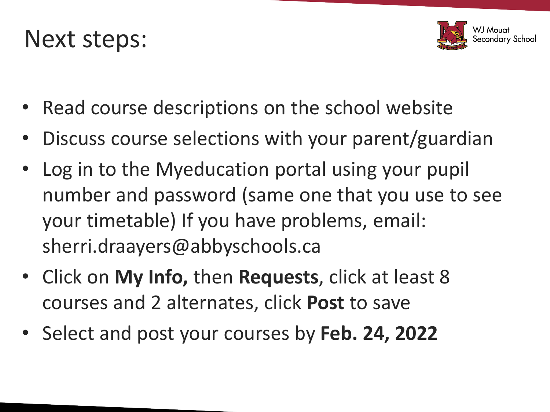### Next steps:



- Read course descriptions on the school website
- Discuss course selections with your parent/guardian
- Log in to the Myeducation portal using your pupil number and password (same one that you use to see your timetable) If you have problems, email: sherri.draayers@abbyschools.ca
- Click on **My Info,** then **Requests**, click at least 8 courses and 2 alternates, click **Post** to save
- Select and post your courses by **Feb. 24, 2022**